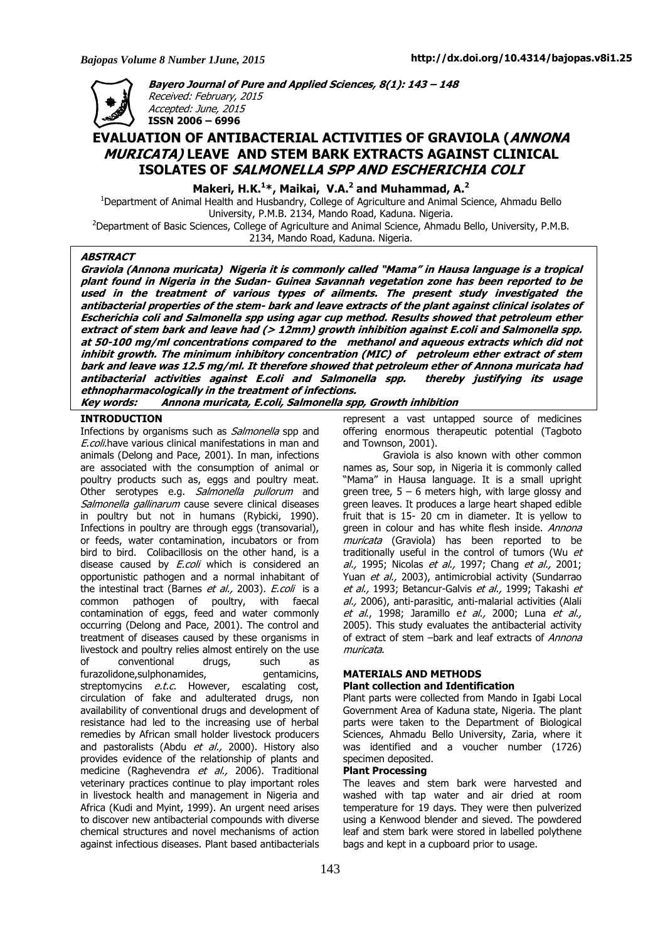

**Bayero Journal of Pure and Applied Sciences, 8(1): 143 – 148**  Received: February, 2015 Accepted: June, 2015 **ISSN 2006 – 6996** 

# **EVALUATION OF ANTIBACTERIAL ACTIVITIES OF GRAVIOLA (ANNONA MURICATA) LEAVE AND STEM BARK EXTRACTS AGAINST CLINICAL ISOLATES OF SALMONELLA SPP AND ESCHERICHIA COLI**

**Makeri, H.K.<sup>1</sup>\*, Maikai, V.A.<sup>2</sup> and Muhammad, A.<sup>2</sup>**

<sup>1</sup>Department of Animal Health and Husbandry, College of Agriculture and Animal Science, Ahmadu Bello University, P.M.B. 2134, Mando Road, Kaduna. Nigeria. <sup>2</sup>Department of Basic Sciences, College of Agriculture and Animal Science, Ahmadu Bello, University, P.M.B.

2134, Mando Road, Kaduna. Nigeria.

### **ABSTRACT**

**Graviola (Annona muricata) Nigeria it is commonly called "Mama" in Hausa language is a tropical plant found in Nigeria in the Sudan- Guinea Savannah vegetation zone has been reported to be used in the treatment of various types of ailments. The present study investigated the antibacterial properties of the stem- bark and leave extracts of the plant against clinical isolates of Escherichia coli and Salmonella spp using agar cup method. Results showed that petroleum ether**  extract of stem bark and leave had (> 12mm) growth inhibition against E.coli and Salmonella spp. **at 50-100 mg/ml concentrations compared to the methanol and aqueous extracts which did not inhibit growth. The minimum inhibitory concentration (MIC) of petroleum ether extract of stem bark and leave was 12.5 mg/ml. It therefore showed that petroleum ether of Annona muricata had antibacterial activities against E.coli and Salmonella spp. thereby justifying its usage ethnopharmacologically in the treatment of infections.** 

**Key words: Annona muricata, E.coli, Salmonella spp, Growth inhibition** 

#### **INTRODUCTION**

Infections by organisms such as Salmonella spp and E.coli.have various clinical manifestations in man and animals (Delong and Pace, 2001). In man, infections are associated with the consumption of animal or poultry products such as, eggs and poultry meat. Other serotypes e.g. Salmonella pullorum and Salmonella gallinarum cause severe clinical diseases in poultry but not in humans (Rybicki, 1990). Infections in poultry are through eggs (transovarial), or feeds, water contamination, incubators or from bird to bird. Colibacillosis on the other hand, is a disease caused by *E.coli* which is considered an opportunistic pathogen and a normal inhabitant of the intestinal tract (Barnes et al., 2003). E.coli is a common pathogen of poultry, with faecal contamination of eggs, feed and water commonly occurring (Delong and Pace, 2001). The control and treatment of diseases caused by these organisms in livestock and poultry relies almost entirely on the use of conventional drugs, such as furazolidone, sulphonamides, example and qualitations, streptomycins e.t.c. However, escalating cost, circulation of fake and adulterated drugs, non availability of conventional drugs and development of resistance had led to the increasing use of herbal remedies by African small holder livestock producers and pastoralists (Abdu et al., 2000). History also provides evidence of the relationship of plants and medicine (Raghevendra et al., 2006). Traditional veterinary practices continue to play important roles in livestock health and management in Nigeria and Africa (Kudi and Myint, 1999). An urgent need arises to discover new antibacterial compounds with diverse chemical structures and novel mechanisms of action against infectious diseases. Plant based antibacterials

represent a vast untapped source of medicines offering enormous therapeutic potential (Tagboto and Townson, 2001).

Graviola is also known with other common names as, Sour sop, in Nigeria it is commonly called "Mama" in Hausa language. It is a small upright green tree,  $5 - 6$  meters high, with large glossy and green leaves. It produces a large heart shaped edible fruit that is 15- 20 cm in diameter. It is yellow to green in colour and has white flesh inside. Annona muricata (Graviola) has been reported to be traditionally useful in the control of tumors (Wu et al., 1995; Nicolas et al., 1997; Chang et al., 2001; Yuan et al., 2003), antimicrobial activity (Sundarrao et al., 1993; Betancur-Galvis et al., 1999; Takashi et al., 2006), anti-parasitic, anti-malarial activities (Alali et al., 1998; Jaramillo et al., 2000; Luna et al., 2005). This study evaluates the antibacterial activity of extract of stem –bark and leaf extracts of Annona muricata.

# **MATERIALS AND METHODS**

#### **Plant collection and Identification**

Plant parts were collected from Mando in Igabi Local Government Area of Kaduna state, Nigeria. The plant parts were taken to the Department of Biological Sciences, Ahmadu Bello University, Zaria, where it was identified and a voucher number (1726) specimen deposited.

#### **Plant Processing**

The leaves and stem bark were harvested and washed with tap water and air dried at room temperature for 19 days. They were then pulverized using a Kenwood blender and sieved. The powdered leaf and stem bark were stored in labelled polythene bags and kept in a cupboard prior to usage.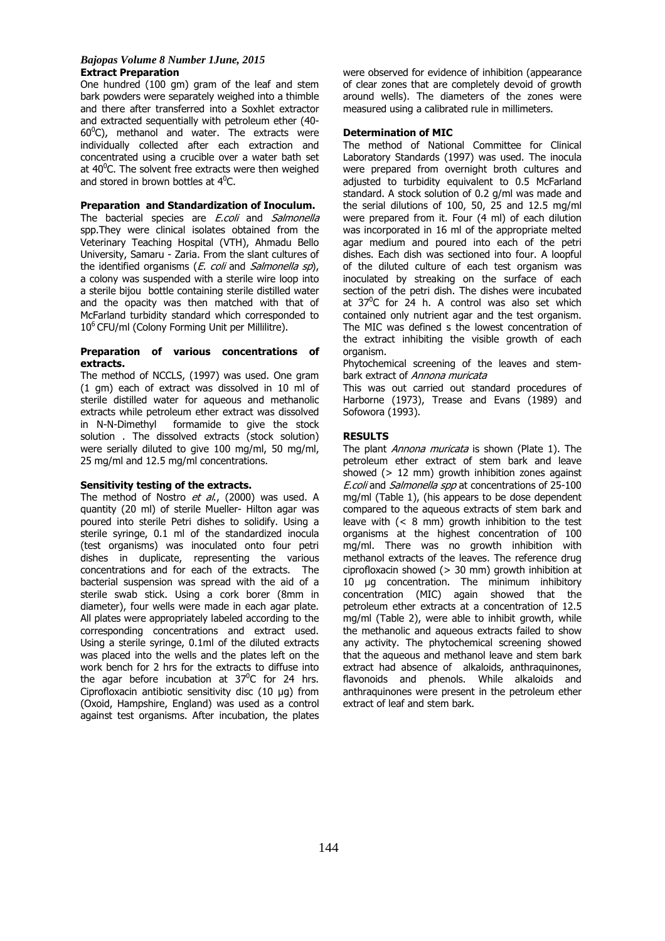#### *Bajopas Volume 8 Number 1June, 2015* **Extract Preparation**

One hundred (100 gm) gram of the leaf and stem bark powders were separately weighed into a thimble and there after transferred into a Soxhlet extractor and extracted sequentially with petroleum ether (40-  $60^{\circ}$ C), methanol and water. The extracts were individually collected after each extraction and concentrated using a crucible over a water bath set at  $40^{\circ}$ C. The solvent free extracts were then weighed and stored in brown bottles at  $4^0C$ .

### **Preparation and Standardization of Inoculum.**

The bacterial species are E.coli and Salmonella spp.They were clinical isolates obtained from the Veterinary Teaching Hospital (VTH), Ahmadu Bello University, Samaru - Zaria. From the slant cultures of the identified organisms (*E. coli* and *Salmonella sp*), a colony was suspended with a sterile wire loop into a sterile bijou bottle containing sterile distilled water and the opacity was then matched with that of McFarland turbidity standard which corresponded to 10<sup>6</sup> CFU/ml (Colony Forming Unit per Millilitre).

### **Preparation of various concentrations of extracts.**

The method of NCCLS, (1997) was used. One gram (1 gm) each of extract was dissolved in 10 ml of sterile distilled water for aqueous and methanolic extracts while petroleum ether extract was dissolved in N-N-Dimethyl formamide to give the stock solution . The dissolved extracts (stock solution) were serially diluted to give 100 mg/ml, 50 mg/ml, 25 mg/ml and 12.5 mg/ml concentrations.

### **Sensitivity testing of the extracts.**

The method of Nostro et al., (2000) was used. A quantity (20 ml) of sterile Mueller- Hilton agar was poured into sterile Petri dishes to solidify. Using a sterile syringe, 0.1 ml of the standardized inocula (test organisms) was inoculated onto four petri dishes in duplicate, representing the various concentrations and for each of the extracts. The bacterial suspension was spread with the aid of a sterile swab stick. Using a cork borer (8mm in diameter), four wells were made in each agar plate. All plates were appropriately labeled according to the corresponding concentrations and extract used. Using a sterile syringe, 0.1ml of the diluted extracts was placed into the wells and the plates left on the work bench for 2 hrs for the extracts to diffuse into the agar before incubation at  $37^{\circ}$ C for 24 hrs. Ciprofloxacin antibiotic sensitivity disc (10 µg) from (Oxoid, Hampshire, England) was used as a control against test organisms. After incubation, the plates

were observed for evidence of inhibition (appearance of clear zones that are completely devoid of growth around wells). The diameters of the zones were measured using a calibrated rule in millimeters.

# **Determination of MIC**

The method of National Committee for Clinical Laboratory Standards (1997) was used. The inocula were prepared from overnight broth cultures and adjusted to turbidity equivalent to 0.5 McFarland standard. A stock solution of 0.2 g/ml was made and the serial dilutions of 100, 50, 25 and 12.5 mg/ml were prepared from it. Four (4 ml) of each dilution was incorporated in 16 ml of the appropriate melted agar medium and poured into each of the petri dishes. Each dish was sectioned into four. A loopful of the diluted culture of each test organism was inoculated by streaking on the surface of each section of the petri dish. The dishes were incubated at  $37^0C$  for 24 h. A control was also set which contained only nutrient agar and the test organism. The MIC was defined s the lowest concentration of the extract inhibiting the visible growth of each organism.

Phytochemical screening of the leaves and stembark extract of Annona muricata

This was out carried out standard procedures of Harborne (1973), Trease and Evans (1989) and Sofowora (1993).

# **RESULTS**

The plant *Annona muricata* is shown (Plate 1). The petroleum ether extract of stem bark and leave showed  $(> 12 \text{ mm})$  growth inhibition zones against E.coli and Salmonella spp at concentrations of 25-100 mg/ml (Table 1), (his appears to be dose dependent compared to the aqueous extracts of stem bark and leave with (< 8 mm) growth inhibition to the test organisms at the highest concentration of 100 mg/ml. There was no growth inhibition with methanol extracts of the leaves. The reference drug ciprofloxacin showed (> 30 mm) growth inhibition at 10 µg concentration. The minimum inhibitory concentration (MIC) again showed that the petroleum ether extracts at a concentration of 12.5 mg/ml (Table 2), were able to inhibit growth, while the methanolic and aqueous extracts failed to show any activity. The phytochemical screening showed that the aqueous and methanol leave and stem bark extract had absence of alkaloids, anthraquinones, flavonoids and phenols. While alkaloids and anthraquinones were present in the petroleum ether extract of leaf and stem bark.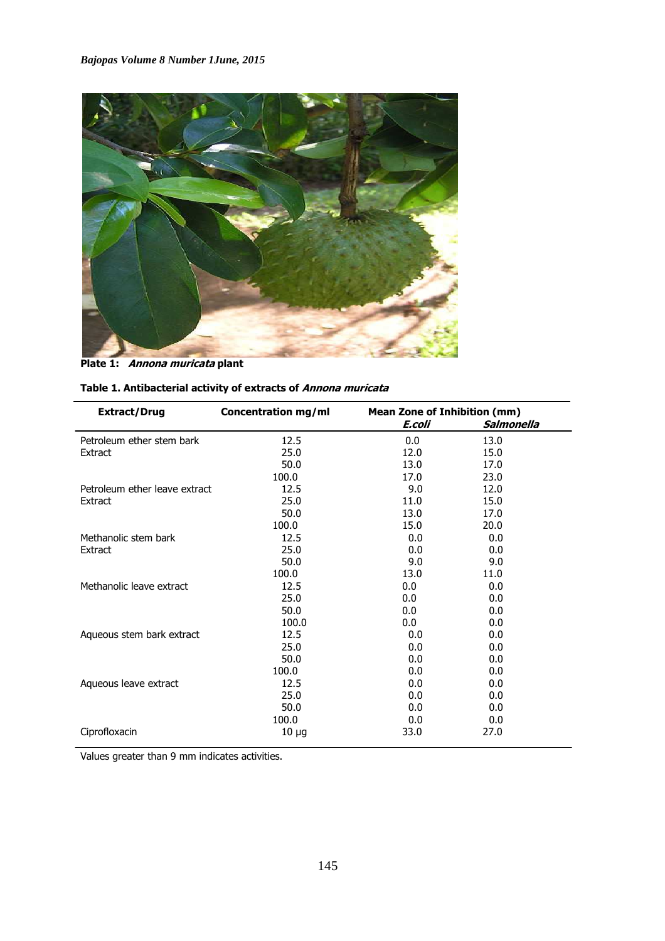

**Plate 1: Annona muricata plant** 

| <b>Extract/Drug</b>           | Concentration mg/ml | <b>Mean Zone of Inhibition (mm)</b><br>Salmonella<br>E.coli |      |  |
|-------------------------------|---------------------|-------------------------------------------------------------|------|--|
| Petroleum ether stem bark     | 12.5                | 0.0                                                         | 13.0 |  |
| Extract                       | 25.0                | 12.0                                                        | 15.0 |  |
|                               | 50.0                | 13.0                                                        | 17.0 |  |
|                               | 100.0               | 17.0                                                        | 23.0 |  |
| Petroleum ether leave extract | 12.5                | 9.0                                                         | 12.0 |  |
| Extract                       | 25.0                | 11.0                                                        | 15.0 |  |
|                               | 50.0                | 13.0                                                        | 17.0 |  |
|                               | 100.0               | 15.0                                                        | 20.0 |  |
| Methanolic stem bark          | 12.5                | 0.0                                                         | 0.0  |  |
| Extract                       | 25.0                | 0.0                                                         | 0.0  |  |

 $50.0$  9.0 9.0 100.0 13.0 11.0 Methanolic leave extract  $12.5$  0.0 0.0 0.0  $25.0$  0.0 0.0 0.0  $50.0$  0.0 0.0 0.0 100.0 0.0 0.0 0.0 Aqueous stem bark extract 12.5 0.0 0.0  $25.0$  0.0 0.0 0.0  $50.0$  0.0 0.0 0.0  $100.0$  0.0 0.0 Aqueous leave extract 12.5 0.0 0.0  $25.0$  0.0 0.0 0.0  $50.0$  0.0 0.0 0.0  $100.0$  0.0 0.0 Ciprofloxacin 10 µg 33.0 27.0

| Table 1. Antibacterial activity of extracts of <i>Annona muricata</i> |  |  |
|-----------------------------------------------------------------------|--|--|
|-----------------------------------------------------------------------|--|--|

Values greater than 9 mm indicates activities.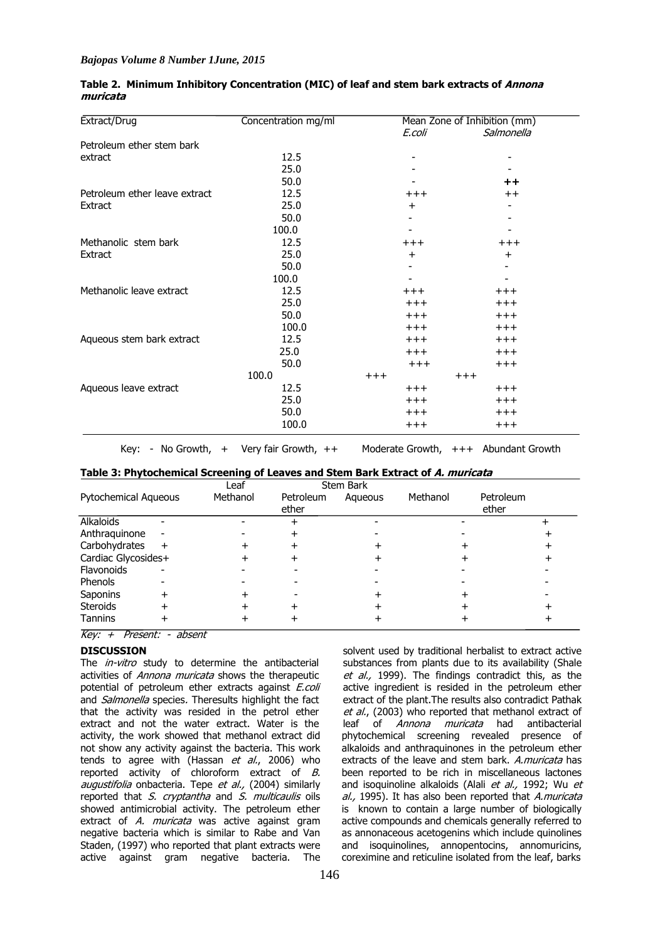| Extract/Drug                  | Concentration mg/ml | Mean Zone of Inhibition (mm) |                 |  |
|-------------------------------|---------------------|------------------------------|-----------------|--|
|                               |                     | E.coli                       | Salmonella      |  |
| Petroleum ether stem bark     |                     |                              |                 |  |
| extract                       | 12.5                |                              |                 |  |
|                               | 25.0                |                              |                 |  |
|                               | 50.0                |                              | $^{\mathrm{+}}$ |  |
| Petroleum ether leave extract | 12.5                | $^{+++}$                     | $^{\mathrm{+}}$ |  |
| Extract                       | 25.0                | $\ddot{}$                    |                 |  |
|                               | 50.0                |                              |                 |  |
|                               | 100.0               |                              |                 |  |
| Methanolic stem bark          | 12.5                | $^{+++}$                     | $^{+++}$        |  |
| Extract                       | 25.0                | $\ddot{}$                    | $\ddot{}$       |  |
|                               | 50.0                |                              |                 |  |
|                               | 100.0               |                              |                 |  |
| Methanolic leave extract      | 12.5                | $^{+++}$                     | $^{+++}$        |  |
|                               | 25.0                | $+++$                        | $+++$           |  |
|                               | 50.0                | $+++$                        | $+++$           |  |
|                               | 100.0               | $+++$                        | $+++$           |  |
| Aqueous stem bark extract     | 12.5                | $+++$                        | $+++$           |  |
|                               | 25.0                | $+++$                        | $^{+++}$        |  |
|                               | 50.0                | $+++$                        | $+++$           |  |
|                               | 100.0               | $+++$                        | $+++$           |  |
| Aqueous leave extract         | 12.5                | $+++$                        | $+++$           |  |
|                               | 25.0                | $+++$                        | $+++$           |  |
|                               | 50.0                | $+++$                        | $^{+++}$        |  |
|                               | 100.0               | $^{+++}$                     | $^{+++}$        |  |

## **Table 2. Minimum Inhibitory Concentration (MIC) of leaf and stem bark extracts of Annona muricata**

Key: - No Growth, + Very fair Growth, ++ Moderate Growth, +++ Abundant Growth

### **Table 3: Phytochemical Screening of Leaves and Stem Bark Extract of A. muricata**

|                      |     | Leaf     |                    | <b>Stem Bark</b> |          |                    |  |
|----------------------|-----|----------|--------------------|------------------|----------|--------------------|--|
| Pytochemical Aqueous |     | Methanol | Petroleum<br>ether | Agueous          | Methanol | Petroleum<br>ether |  |
| Alkaloids            |     |          |                    |                  |          |                    |  |
| Anthraguinone        |     |          |                    |                  |          |                    |  |
| Carbohydrates        | $+$ |          |                    |                  |          |                    |  |
| Cardiac Glycosides+  |     |          |                    |                  |          |                    |  |
| Flavonoids           |     |          |                    |                  |          |                    |  |
| <b>Phenols</b>       |     |          |                    |                  |          |                    |  |
| Saponins             |     |          |                    |                  |          |                    |  |
| <b>Steroids</b>      |     |          |                    |                  |          |                    |  |
| <b>Tannins</b>       |     |          |                    |                  |          |                    |  |

Key: + Present: - absent

# **DISCUSSION**

The *in-vitro* study to determine the antibacterial activities of Annona muricata shows the therapeutic potential of petroleum ether extracts against E.coli and *Salmonella* species. Theresults highlight the fact that the activity was resided in the petrol ether extract and not the water extract. Water is the activity, the work showed that methanol extract did not show any activity against the bacteria. This work tends to agree with (Hassan et al., 2006) who reported activity of chloroform extract of  $B$ . augustifolia onbacteria. Tepe et al., (2004) similarly reported that S. cryptantha and S. multicaulis oils showed antimicrobial activity. The petroleum ether extract of A. muricata was active against gram negative bacteria which is similar to Rabe and Van Staden, (1997) who reported that plant extracts were active against gram negative bacteria. The

solvent used by traditional herbalist to extract active substances from plants due to its availability (Shale et al., 1999). The findings contradict this, as the active ingredient is resided in the petroleum ether extract of the plant.The results also contradict Pathak et al., (2003) who reported that methanol extract of leaf of Annona muricata had antibacterial phytochemical screening revealed presence of alkaloids and anthraquinones in the petroleum ether extracts of the leave and stem bark. A.muricata has been reported to be rich in miscellaneous lactones and isoquinoline alkaloids (Alali et al., 1992; Wu et al., 1995). It has also been reported that A.muricata is known to contain a large number of biologically active compounds and chemicals generally referred to as annonaceous acetogenins which include quinolines and isoquinolines, annopentocins, annomuricins, coreximine and reticuline isolated from the leaf, barks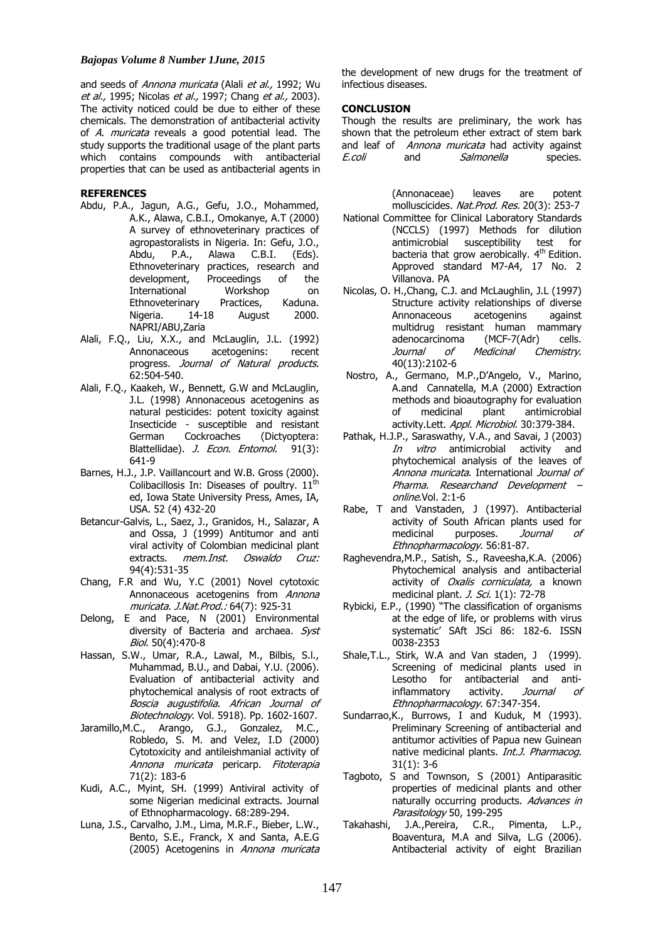#### *Bajopas Volume 8 Number 1June, 2015*

and seeds of Annona muricata (Alali et al., 1992; Wu et al., 1995; Nicolas et al., 1997; Chang et al., 2003). The activity noticed could be due to either of these chemicals. The demonstration of antibacterial activity of A. muricata reveals a good potential lead. The study supports the traditional usage of the plant parts which contains compounds with antibacterial properties that can be used as antibacterial agents in

### **REFERENCES**

- Abdu, P.A., Jagun, A.G., Gefu, J.O., Mohammed, A.K., Alawa, C.B.I., Omokanye, A.T (2000) A survey of ethnoveterinary practices of agropastoralists in Nigeria. In: Gefu, J.O., Abdu, P.A., Alawa C.B.I. (Eds). Ethnoveterinary practices, research and development, Proceedings of the<br>International Workshop on International Workshop on<br>Ethnoveterinary Practices, Kaduna. Ethnoveterinary Practices, Kaduna.<br>Nigeria. 14-18 August 2000. Nigeria. NAPRI/ABU,Zaria
- Alali, F.Q., Liu, X.X., and McLauglin, J.L. (1992) Annonaceous acetogenins: recent progress. Journal of Natural products. 62:504-540.
- Alali, F.Q., Kaakeh, W., Bennett, G.W and McLauglin, J.L. (1998) Annonaceous acetogenins as natural pesticides: potent toxicity against Insecticide - susceptible and resistant<br>
German Cockroaches (Dictyontera: German Cockroaches (Dictyoptera: Blattellidae). J. Econ. Entomol. 91(3): 641-9
- Barnes, H.J., J.P. Vaillancourt and W.B. Gross (2000). Colibacillosis In: Diseases of poultry.  $11^{th}$ ed, Iowa State University Press, Ames, IA, USA. 52 (4) 432-20
- Betancur-Galvis, L., Saez, J., Granidos, H., Salazar, A and Ossa, J (1999) Antitumor and anti viral activity of Colombian medicinal plant extracts. mem.Inst. Oswaldo Cruz: 94(4):531-35
- Chang, F.R and Wu, Y.C (2001) Novel cytotoxic Annonaceous acetogenins from Annona muricata. J.Nat.Prod.: 64(7): 925-31
- Delong, E and Pace, N (2001) Environmental diversity of Bacteria and archaea. Syst Biol. 50(4):470-8
- Hassan, S.W., Umar, R.A., Lawal, M., Bilbis, S.l., Muhammad, B.U., and Dabai, Y.U. (2006). Evaluation of antibacterial activity and phytochemical analysis of root extracts of Boscia augustifolia. African Journal of Biotechnology. Vol. 5918). Pp. 1602-1607.
- Jaramillo,M.C., Arango, G.J., Gonzalez, M.C., Robledo, S. M. and Velez, I.D (2000) Cytotoxicity and antileishmanial activity of Annona muricata pericarp. Fitoterapia 71(2): 183-6
- Kudi, A.C., Myint, SH. (1999) Antiviral activity of some Nigerian medicinal extracts. Journal of Ethnopharmacology. 68:289-294.
- Luna, J.S., Carvalho, J.M., Lima, M.R.F., Bieber, L.W., Bento, S.E., Franck, X and Santa, A.E.G (2005) Acetogenins in Annona muricata

the development of new drugs for the treatment of infectious diseases.

# **CONCLUSION**

Though the results are preliminary, the work has shown that the petroleum ether extract of stem bark and leaf of Annona muricata had activity against E.coli and Salmonella species.

> (Annonaceae) leaves are potent molluscicides. Nat. Prod. Res. 20(3): 253-7

- National Committee for Clinical Laboratory Standards (NCCLS) (1997) Methods for dilution antimicrobial susceptibility test for bacteria that grow aerobically. 4<sup>th</sup> Edition. Approved standard M7-A4, 17 No. 2 Villanova. PA
- Nicolas, O. H.,Chang, C.J. and McLaughlin, J.L (1997) Structure activity relationships of diverse<br>Annonaceous acetogenins against Annonaceous acetogenins against multidrug resistant human mammary<br>adenocarcinoma (MCF-7(Adr) cells. adenocarcinoma (MCF-7(Adr) cells.<br>*Journal of Medicinal Chemistry.* Journal of Medicinal Chemistry. 40(13):2102-6
- Nostro, A., Germano, M.P.,D'Angelo, V., Marino, A.and Cannatella, M.A (2000) Extraction methods and bioautography for evaluation<br>of medicinal plant antimicrobial antimicrobial activity.Lett. Appl. Microbiol. 30:379-384.
- Pathak, H.J.P., Saraswathy, V.A., and Savai, J (2003) In vitro antimicrobial activity and phytochemical analysis of the leaves of Annona muricata. International Journal of Pharma. Researchand Development – online.Vol. 2:1-6
- Rabe, T and Vanstaden, J (1997). Antibacterial activity of South African plants used for<br>medicinal purposes. Journal of purposes. *Journal of* Ethnopharmacology. 56:81-87.
- Raghevendra,M.P., Satish, S., Raveesha,K.A. (2006) Phytochemical analysis and antibacterial activity of *Oxalis corniculata*, a known medicinal plant. *J. Sci.* 1(1): 72-78
- Rybicki, E.P., (1990) "The classification of organisms at the edge of life, or problems with virus systematic' SAft JSci 86: 182-6. ISSN 0038-2353
- Shale,T.L., Stirk, W.A and Van staden, J (1999). Screening of medicinal plants used in Lesotho for antibacterial and antiinflammatory activity. Journal of Ethnopharmacology. 67:347-354.
- Sundarrao,K., Burrows, I and Kuduk, M (1993). Preliminary Screening of antibacterial and antitumor activities of Papua new Guinean native medicinal plants. *Int.J. Pharmacog.* 31(1): 3-6
- Tagboto, S and Townson, S (2001) Antiparasitic properties of medicinal plants and other naturally occurring products. Advances in Parasitology 50, 199-295
- Takahashi, J.A.,Pereira, C.R., Pimenta, L.P., Boaventura, M.A and Silva, L.G (2006). Antibacterial activity of eight Brazilian